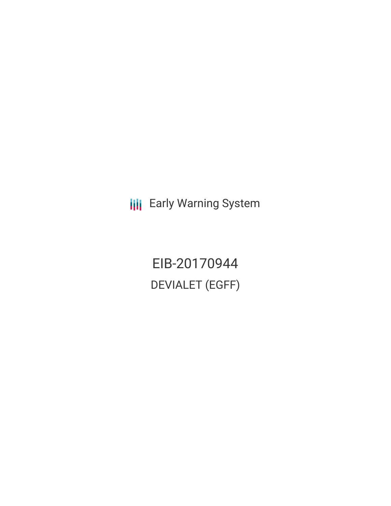**III** Early Warning System

EIB-20170944 DEVIALET (EGFF)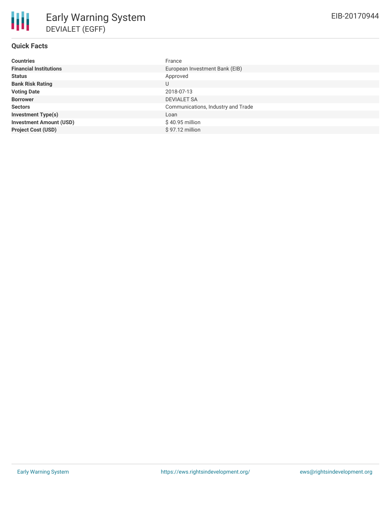| <b>Countries</b>               | France                             |
|--------------------------------|------------------------------------|
| <b>Financial Institutions</b>  | European Investment Bank (EIB)     |
| <b>Status</b>                  | Approved                           |
| <b>Bank Risk Rating</b>        | U                                  |
| <b>Voting Date</b>             | 2018-07-13                         |
| <b>Borrower</b>                | <b>DEVIALET SA</b>                 |
| <b>Sectors</b>                 | Communications, Industry and Trade |
| <b>Investment Type(s)</b>      | Loan                               |
| <b>Investment Amount (USD)</b> | \$40.95 million                    |
| <b>Project Cost (USD)</b>      | \$97.12 million                    |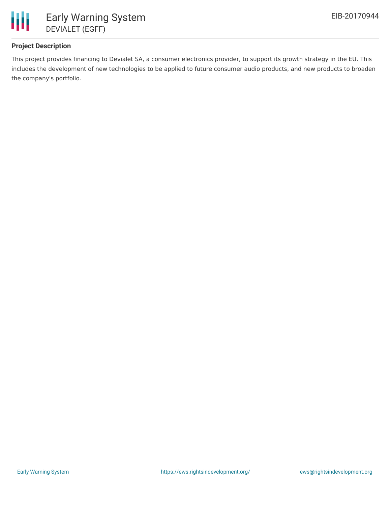

## **Project Description**

This project provides financing to Devialet SA, a consumer electronics provider, to support its growth strategy in the EU. This includes the development of new technologies to be applied to future consumer audio products, and new products to broaden the company's portfolio.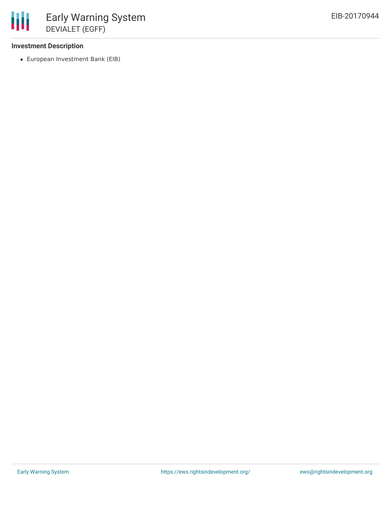### **Investment Description**

European Investment Bank (EIB)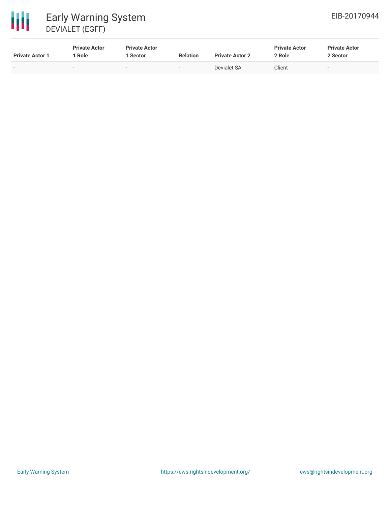# 冊 Early Warning System DEVIALET (EGFF)

| <b>Private Actor 1</b> | <b>Private Actor</b><br>Role | <b>Private Actor</b><br>Sector | <b>Relation</b> | <b>Private Actor 2</b> | <b>Private Actor</b><br>2 Role | <b>Private Actor</b><br>2 Sector |
|------------------------|------------------------------|--------------------------------|-----------------|------------------------|--------------------------------|----------------------------------|
| $\sim$                 | -                            |                                | $\sim$          | Devialet SA            | Client                         |                                  |